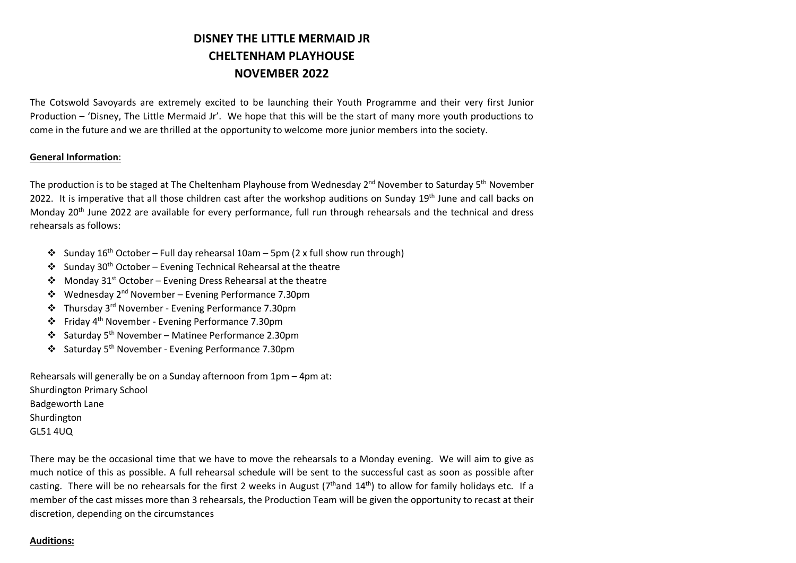# **DISNEY THE LITTLE MERMAID JR CHELTENHAM PLAYHOUSE NOVEMBER 2022**

The Cotswold Savoyards are extremely excited to be launching their Youth Programme and their very first Junior Production – 'Disney, The Little Mermaid Jr'. We hope that this will be the start of many more youth productions to come in the future and we are thrilled at the opportunity to welcome more junior members into the society.

#### **General Information**:

The production is to be staged at The Cheltenham Playhouse from Wednesday 2<sup>nd</sup> November to Saturday 5<sup>th</sup> November 2022. It is imperative that all those children cast after the workshop auditions on Sunday 19<sup>th</sup> June and call backs on Monday 20th June 2022 are available for every performance, full run through rehearsals and the technical and dress rehearsals as follows:

- Sunday 16<sup>th</sup> October Full day rehearsal 10am 5pm (2 x full show run through)
- Sunday 30<sup>th</sup> October Evening Technical Rehearsal at the theatre
- $\mathbf{\hat{P}}$  Monday 31<sup>st</sup> October Evening Dress Rehearsal at the theatre
- $\cdot$  Wednesday 2<sup>nd</sup> November Evening Performance 7.30pm
- v Thursday 3rd November Evening Performance 7.30pm
- v Friday 4th November Evening Performance 7.30pm
- v Saturday 5th November Matinee Performance 2.30pm
- v Saturday 5th November Evening Performance 7.30pm

Rehearsals will generally be on a Sunday afternoon from 1pm – 4pm at: Shurdington Primary School Badgeworth Lane Shurdington GL51 4UQ

There may be the occasional time that we have to move the rehearsals to a Monday evening. We will aim to give as much notice of this as possible. A full rehearsal schedule will be sent to the successful cast as soon as possible after casting. There will be no rehearsals for the first 2 weeks in August ( $7<sup>th</sup>$ and  $14<sup>th</sup>$ ) to allow for family holidays etc. If a member of the cast misses more than 3 rehearsals, the Production Team will be given the opportunity to recast at their discretion, depending on the circumstances

#### **Auditions:**